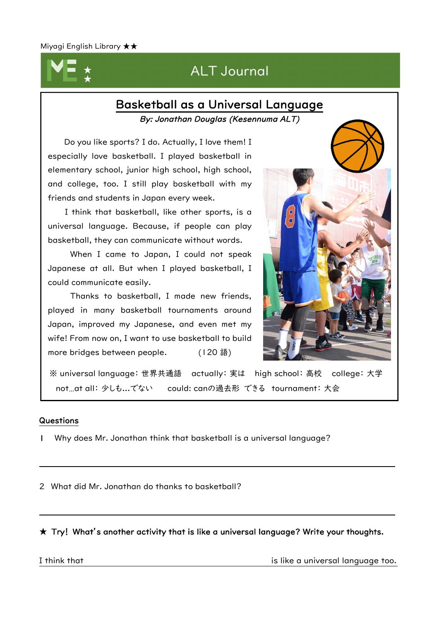## **ALT Journal**  $\overline{a}$

## Basketball as a Universal Language By: Jonathan Douglas (Kesennuma ALT)

Do you like sports? I do. Actually, I love them! I especially love basketball. I played basketball in elementary school, junior high school, high school, and college, too. I still play basketball with my friends and students in Japan every week.

I think that basketball, like other sports, is a universal language. Because, if people can play basketball, they can communicate without words.

When I came to Japan, I could not speak Japanese at all. But when I played basketball, I could communicate easily.

Thanks to basketball, I made new friends, played in many basketball tournaments around Japan, improved my Japanese, and even met my wife! From now on, I want to use basketball to build more bridges between people. (120 語)



※ universal language: 世界共通語 actually: 実は high school: 高校 college: 大学 not…at all: 少しも...でない could: canの過去形 できる tournament: 大会

### Questions

I

I

I

I

I

I

I

I

I

I

I

I

I

I

ï

1 Why does Mr. Jonathan think that basketball is a universal language?

2 What did Mr. Jonathan do thanks to basketball?

 $\star$  Try! What's another activity that is like a universal language? Write your thoughts.